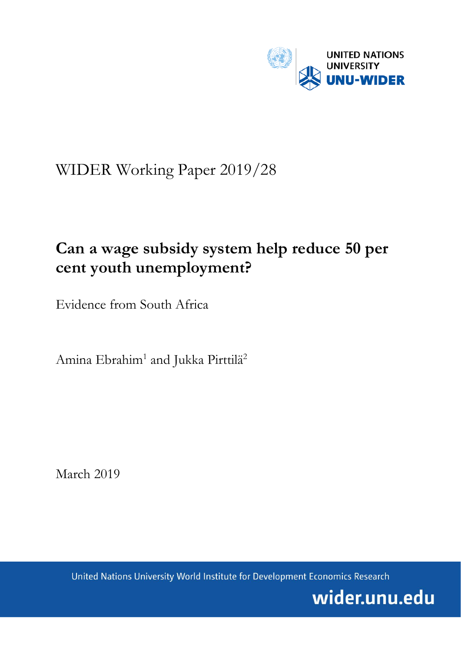

# WIDER Working Paper 2019/28

# **Can a wage subsidy system help reduce 50 per cent youth unemployment?**

Evidence from South Africa

Amina Ebrahim<sup>1</sup> and Jukka Pirttilä<sup>2</sup>

March 2019

United Nations University World Institute for Development Economics Research

wider.unu.edu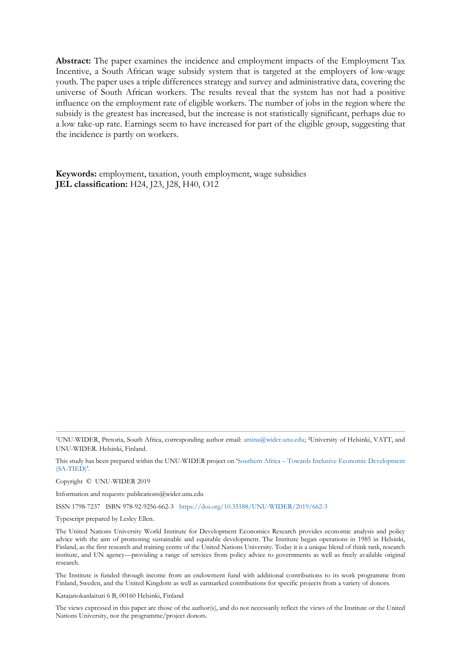**Abstract:** The paper examines the incidence and employment impacts of the Employment Tax Incentive, a South African wage subsidy system that is targeted at the employers of low-wage youth. The paper uses a triple differences strategy and survey and administrative data, covering the universe of South African workers. The results reveal that the system has not had a positive influence on the employment rate of eligible workers. The number of jobs in the region where the subsidy is the greatest has increased, but the increase is not statistically significant, perhaps due to a low take-up rate. Earnings seem to have increased for part of the eligible group, suggesting that the incidence is partly on workers.

**Keywords:** employment, taxation, youth employment, wage subsidies **JEL classification:** H24, J23, J28, H40, O12

This study has been prepared within the UNU-WIDER project on 'Southern Africa [– Towards Inclusive Economic Development](https://www.wider.unu.edu/node/151233) [\(SA-TIED\)'.](https://www.wider.unu.edu/node/151233)

Copyright © UNU-WIDER 2019

Information and requests: publications@wider.unu.edu

ISSN 1798-7237 ISBN 978-92-9256-662-3 <https://doi.org/10.35188/UNU-WIDER/2019/662-3>

Typescript prepared by Lesley Ellen.

The United Nations University World Institute for Development Economics Research provides economic analysis and policy advice with the aim of promoting sustainable and equitable development. The Institute began operations in 1985 in Helsinki, Finland, as the first research and training centre of the United Nations University. Today it is a unique blend of think tank, research institute, and UN agency—providing a range of services from policy advice to governments as well as freely available original research.

The Institute is funded through income from an endowment fund with additional contributions to its work programme from Finland, Sweden, and the United Kingdom as well as earmarked contributions for specific projects from a variety of donors.

Katajanokanlaituri 6 B, 00160 Helsinki, Finland

The views expressed in this paper are those of the author(s), and do not necessarily reflect the views of the Institute or the United Nations University, nor the programme/project donors.

<sup>1</sup>UNU-WIDER, Pretoria, South Africa, corresponding author email: [amina@wider.unu.edu;](mailto:amina@wider.unu.edu) <sup>2</sup>University of Helsinki, VATT, and UNU-WIDER. Helsinki, Finland.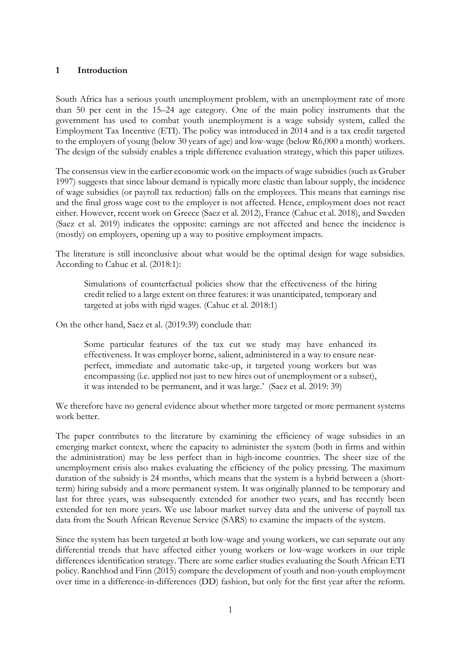## **1 Introduction**

South Africa has a serious youth unemployment problem, with an unemployment rate of more than 50 per cent in the 15–24 age category. One of the main policy instruments that the government has used to combat youth unemployment is a wage subsidy system, called the Employment Tax Incentive (ETI). The policy was introduced in 2014 and is a tax credit targeted to the employers of young (below 30 years of age) and low-wage (below R6,000 a month) workers. The design of the subsidy enables a triple difference evaluation strategy, which this paper utilizes.

The consensus view in the earlier economic work on the impacts of wage subsidies (such as Gruber 1997) suggests that since labour demand is typically more elastic than labour supply, the incidence of wage subsidies (or payroll tax reduction) falls on the employees. This means that earnings rise and the final gross wage cost to the employer is not affected. Hence, employment does not react either. However, recent work on Greece (Saez et al. 2012), France (Cahuc et al. 2018), and Sweden (Saez et al. 2019) indicates the opposite: earnings are not affected and hence the incidence is (mostly) on employers, opening up a way to positive employment impacts.

The literature is still inconclusive about what would be the optimal design for wage subsidies. According to Cahuc et al. (2018:1):

Simulations of counterfactual policies show that the effectiveness of the hiring credit relied to a large extent on three features: it was unanticipated, temporary and targeted at jobs with rigid wages. (Cahuc et al. 2018:1)

On the other hand, Saez et al. (2019:39) conclude that:

Some particular features of the tax cut we study may have enhanced its effectiveness. It was employer borne, salient, administered in a way to ensure nearperfect, immediate and automatic take-up, it targeted young workers but was encompassing (i.e. applied not just to new hires out of unemployment or a subset), it was intended to be permanent, and it was large.' (Saez et al. 2019: 39)

We therefore have no general evidence about whether more targeted or more permanent systems work better.

The paper contributes to the literature by examining the efficiency of wage subsidies in an emerging market context, where the capacity to administer the system (both in firms and within the administration) may be less perfect than in high-income countries. The sheer size of the unemployment crisis also makes evaluating the efficiency of the policy pressing. The maximum duration of the subsidy is 24 months, which means that the system is a hybrid between a (shortterm) hiring subsidy and a more permanent system. It was originally planned to be temporary and last for three years, was subsequently extended for another two years, and has recently been extended for ten more years. We use labour market survey data and the universe of payroll tax data from the South African Revenue Service (SARS) to examine the impacts of the system.

Since the system has been targeted at both low-wage and young workers, we can separate out any differential trends that have affected either young workers or low-wage workers in our triple differences identification strategy. There are some earlier studies evaluating the South African ETI policy. Ranchhod and Finn (2015) compare the development of youth and non-youth employment over time in a difference-in-differences (DD) fashion, but only for the first year after the reform.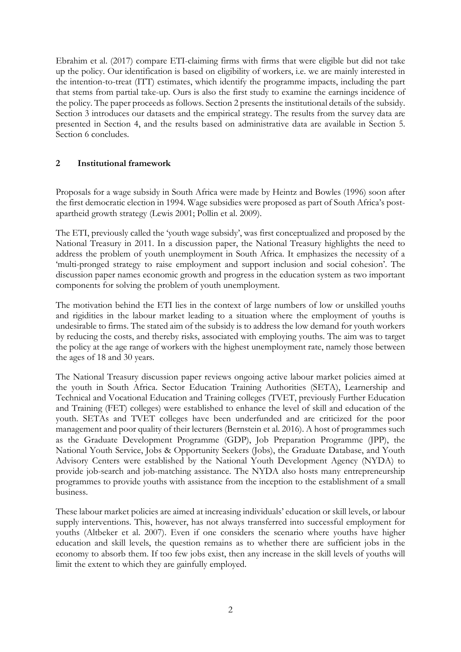Ebrahim et al. (2017) compare ETI-claiming firms with firms that were eligible but did not take up the policy. Our identification is based on eligibility of workers, i.e. we are mainly interested in the intention-to-treat (ITT) estimates, which identify the programme impacts, including the part that stems from partial take-up. Ours is also the first study to examine the earnings incidence of the policy. The paper proceeds as follows. Section 2 presents the institutional details of the subsidy. Section 3 introduces our datasets and the empirical strategy. The results from the survey data are presented in Section 4, and the results based on administrative data are available in Section 5. Section 6 concludes.

# **2 Institutional framework**

Proposals for a wage subsidy in South Africa were made by Heintz and Bowles (1996) soon after the first democratic election in 1994. Wage subsidies were proposed as part of South Africa's postapartheid growth strategy (Lewis 2001; Pollin et al. 2009).

The ETI, previously called the 'youth wage subsidy', was first conceptualized and proposed by the National Treasury in 2011. In a discussion paper, the National Treasury highlights the need to address the problem of youth unemployment in South Africa. It emphasizes the necessity of a 'multi-pronged strategy to raise employment and support inclusion and social cohesion'. The discussion paper names economic growth and progress in the education system as two important components for solving the problem of youth unemployment.

The motivation behind the ETI lies in the context of large numbers of low or unskilled youths and rigidities in the labour market leading to a situation where the employment of youths is undesirable to firms. The stated aim of the subsidy is to address the low demand for youth workers by reducing the costs, and thereby risks, associated with employing youths. The aim was to target the policy at the age range of workers with the highest unemployment rate, namely those between the ages of 18 and 30 years.

The National Treasury discussion paper reviews ongoing active labour market policies aimed at the youth in South Africa. Sector Education Training Authorities (SETA), Learnership and Technical and Vocational Education and Training colleges (TVET, previously Further Education and Training (FET) colleges) were established to enhance the level of skill and education of the youth. SETAs and TVET colleges have been underfunded and are criticized for the poor management and poor quality of their lecturers (Bernstein et al. 2016). A host of programmes such as the Graduate Development Programme (GDP), Job Preparation Programme (JPP), the National Youth Service, Jobs & Opportunity Seekers (Jobs), the Graduate Database, and Youth Advisory Centers were established by the National Youth Development Agency (NYDA) to provide job-search and job-matching assistance. The NYDA also hosts many entrepreneurship programmes to provide youths with assistance from the inception to the establishment of a small business.

These labour market policies are aimed at increasing individuals' education or skill levels, or labour supply interventions. This, however, has not always transferred into successful employment for youths (Altbeker et al. 2007). Even if one considers the scenario where youths have higher education and skill levels, the question remains as to whether there are sufficient jobs in the economy to absorb them. If too few jobs exist, then any increase in the skill levels of youths will limit the extent to which they are gainfully employed.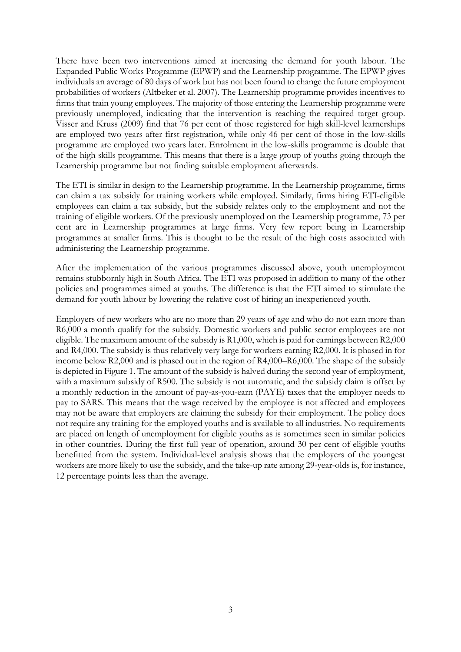There have been two interventions aimed at increasing the demand for youth labour. The Expanded Public Works Programme (EPWP) and the Learnership programme. The EPWP gives individuals an average of 80 days of work but has not been found to change the future employment probabilities of workers (Altbeker et al. 2007). The Learnership programme provides incentives to firms that train young employees. The majority of those entering the Learnership programme were previously unemployed, indicating that the intervention is reaching the required target group. Visser and Kruss (2009) find that 76 per cent of those registered for high skill-level learnerships are employed two years after first registration, while only 46 per cent of those in the low-skills programme are employed two years later. Enrolment in the low-skills programme is double that of the high skills programme. This means that there is a large group of youths going through the Learnership programme but not finding suitable employment afterwards.

The ETI is similar in design to the Learnership programme. In the Learnership programme, firms can claim a tax subsidy for training workers while employed. Similarly, firms hiring ETI-eligible employees can claim a tax subsidy, but the subsidy relates only to the employment and not the training of eligible workers. Of the previously unemployed on the Learnership programme, 73 per cent are in Learnership programmes at large firms. Very few report being in Learnership programmes at smaller firms. This is thought to be the result of the high costs associated with administering the Learnership programme.

After the implementation of the various programmes discussed above, youth unemployment remains stubbornly high in South Africa. The ETI was proposed in addition to many of the other policies and programmes aimed at youths. The difference is that the ETI aimed to stimulate the demand for youth labour by lowering the relative cost of hiring an inexperienced youth.

Employers of new workers who are no more than 29 years of age and who do not earn more than R6,000 a month qualify for the subsidy. Domestic workers and public sector employees are not eligible. The maximum amount of the subsidy is R1,000, which is paid for earnings between R2,000 and R4,000. The subsidy is thus relatively very large for workers earning R2,000. It is phased in for income below R2,000 and is phased out in the region of R4,000–R6,000. The shape of the subsidy is depicted in Figure 1. The amount of the subsidy is halved during the second year of employment, with a maximum subsidy of R500. The subsidy is not automatic, and the subsidy claim is offset by a monthly reduction in the amount of pay-as-you-earn (PAYE) taxes that the employer needs to pay to SARS. This means that the wage received by the employee is not affected and employees may not be aware that employers are claiming the subsidy for their employment. The policy does not require any training for the employed youths and is available to all industries. No requirements are placed on length of unemployment for eligible youths as is sometimes seen in similar policies in other countries. During the first full year of operation, around 30 per cent of eligible youths benefitted from the system. Individual-level analysis shows that the employers of the youngest workers are more likely to use the subsidy, and the take-up rate among 29-year-olds is, for instance, 12 percentage points less than the average.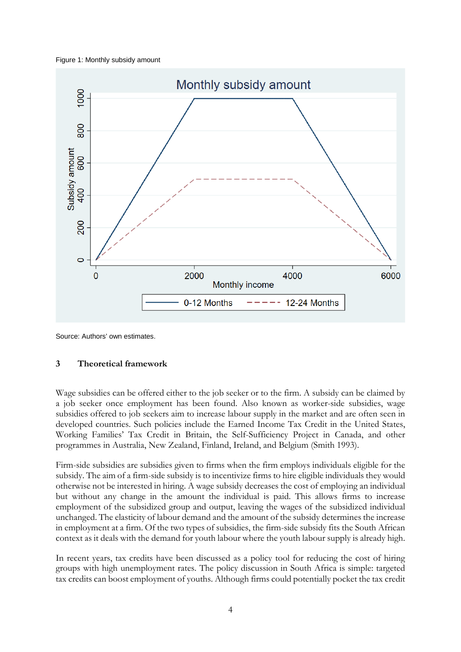#### Figure 1: Monthly subsidy amount



Source: Authors' own estimates.

## **3 Theoretical framework**

Wage subsidies can be offered either to the job seeker or to the firm. A subsidy can be claimed by a job seeker once employment has been found. Also known as worker-side subsidies, wage subsidies offered to job seekers aim to increase labour supply in the market and are often seen in developed countries. Such policies include the Earned Income Tax Credit in the United States, Working Families' Tax Credit in Britain, the Self-Sufficiency Project in Canada, and other programmes in Australia, New Zealand, Finland, Ireland, and Belgium (Smith 1993).

Firm-side subsidies are subsidies given to firms when the firm employs individuals eligible for the subsidy. The aim of a firm-side subsidy is to incentivize firms to hire eligible individuals they would otherwise not be interested in hiring. A wage subsidy decreases the cost of employing an individual but without any change in the amount the individual is paid. This allows firms to increase employment of the subsidized group and output, leaving the wages of the subsidized individual unchanged. The elasticity of labour demand and the amount of the subsidy determines the increase in employment at a firm. Of the two types of subsidies, the firm-side subsidy fits the South African context as it deals with the demand for youth labour where the youth labour supply is already high.

In recent years, tax credits have been discussed as a policy tool for reducing the cost of hiring groups with high unemployment rates. The policy discussion in South Africa is simple: targeted tax credits can boost employment of youths. Although firms could potentially pocket the tax credit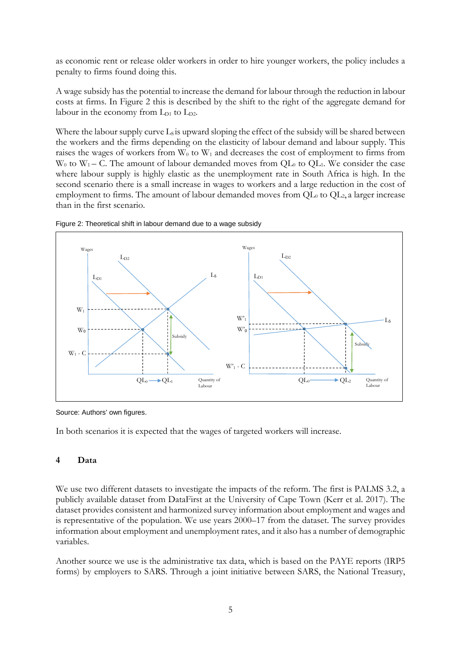as economic rent or release older workers in order to hire younger workers, the policy includes a penalty to firms found doing this.

A wage subsidy has the potential to increase the demand for labour through the reduction in labour costs at firms. In Figure 2 this is described by the shift to the right of the aggregate demand for labour in the economy from  $L_{D1}$  to  $L_{D2}$ .

Where the labour supply curve  $L_s$  is upward sloping the effect of the subsidy will be shared between the workers and the firms depending on the elasticity of labour demand and labour supply. This raises the wages of workers from  $W_0$  to  $W_1$  and decreases the cost of employment to firms from  $W_0$  to  $W_1$  – C. The amount of labour demanded moves from QL<sub>0</sub> to QL<sub>1</sub>. We consider the case where labour supply is highly elastic as the unemployment rate in South Africa is high. In the second scenario there is a small increase in wages to workers and a large reduction in the cost of employment to firms. The amount of labour demanded moves from  $QL_0$  to  $QL_2$ , a larger increase than in the first scenario.





Source: Authors' own figures.

In both scenarios it is expected that the wages of targeted workers will increase.

## **4 Data**

We use two different datasets to investigate the impacts of the reform. The first is PALMS 3.2, a publicly available dataset from DataFirst at the University of Cape Town (Kerr et al. 2017). The dataset provides consistent and harmonized survey information about employment and wages and is representative of the population. We use years 2000–17 from the dataset. The survey provides information about employment and unemployment rates, and it also has a number of demographic variables.

Another source we use is the administrative tax data, which is based on the PAYE reports (IRP5 forms) by employers to SARS. Through a joint initiative between SARS, the National Treasury,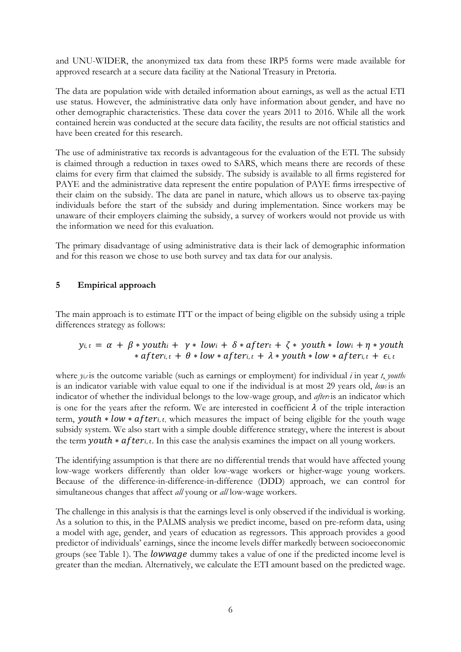and UNU-WIDER, the anonymized tax data from these IRP5 forms were made available for approved research at a secure data facility at the National Treasury in Pretoria.

The data are population wide with detailed information about earnings, as well as the actual ETI use status. However, the administrative data only have information about gender, and have no other demographic characteristics. These data cover the years 2011 to 2016. While all the work contained herein was conducted at the secure data facility, the results are not official statistics and have been created for this research.

The use of administrative tax records is advantageous for the evaluation of the ETI. The subsidy is claimed through a reduction in taxes owed to SARS, which means there are records of these claims for every firm that claimed the subsidy. The subsidy is available to all firms registered for PAYE and the administrative data represent the entire population of PAYE firms irrespective of their claim on the subsidy. The data are panel in nature, which allows us to observe tax-paying individuals before the start of the subsidy and during implementation. Since workers may be unaware of their employers claiming the subsidy, a survey of workers would not provide us with the information we need for this evaluation.

The primary disadvantage of using administrative data is their lack of demographic information and for this reason we chose to use both survey and tax data for our analysis.

# **5 Empirical approach**

The main approach is to estimate ITT or the impact of being eligible on the subsidy using a triple differences strategy as follows:

# $y_{i,t} = \alpha + \beta *$  youth  $t + \gamma *$  low  $t + \delta *$  after  $t + \zeta *$  youth  $*$  low  $t + \eta *$  youth  $*$  afteri,  $t + \theta * low * after_{i,t} + \lambda * youth * low * after_{i,t} + \epsilon_{i,t}$

where  $y_i$ , *is* the outcome variable (such as earnings or employment) for individual *i* in year *t*, *youthi* is an indicator variable with value equal to one if the individual is at most 29 years old, *lowi* is an indicator of whether the individual belongs to the low-wage group, and *afteris* an indicator which is one for the years after the reform. We are interested in coefficient  $\lambda$  of the triple interaction term, *youth*  $*$  low  $*$  after<sub>i, t,</sub> which measures the impact of being eligible for the youth wage subsidy system. We also start with a simple double difference strategy, where the interest is about the term  $\textit{youth} * \textit{after}_{i, t}$ . In this case the analysis examines the impact on all young workers.

The identifying assumption is that there are no differential trends that would have affected young low-wage workers differently than older low-wage workers or higher-wage young workers. Because of the difference-in-difference-in-difference (DDD) approach, we can control for simultaneous changes that affect *all* young or *all* low-wage workers.

The challenge in this analysis is that the earnings level is only observed if the individual is working. As a solution to this, in the PALMS analysis we predict income, based on pre-reform data, using a model with age, gender, and years of education as regressors. This approach provides a good predictor of individuals' earnings, since the income levels differ markedly between socioeconomic groups (see Table 1). The lowwage dummy takes a value of one if the predicted income level is greater than the median. Alternatively, we calculate the ETI amount based on the predicted wage.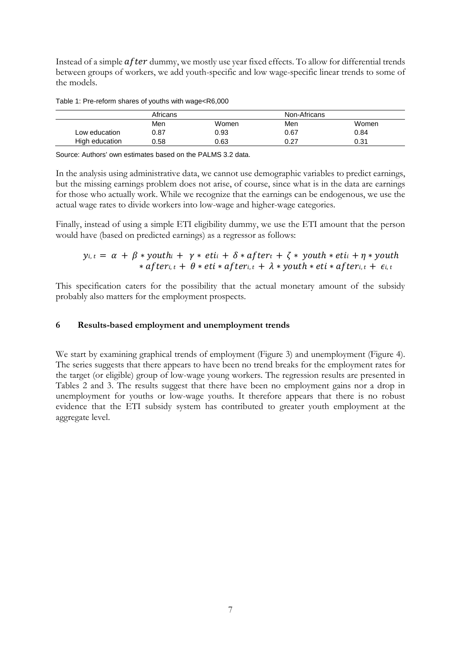Instead of a simple  $after$  dummy, we mostly use year fixed effects. To allow for differential trends between groups of workers, we add youth-specific and low wage-specific linear trends to some of the models.

Table 1: Pre-reform shares of youths with wage<R6,000

|                | Africans |       | Non-Africans |       |
|----------------|----------|-------|--------------|-------|
|                | Men      | Women | Men          | Women |
| Low education  | 0.87     | 0.93  | 0.67         | 0.84  |
| High education | 0.58     | 0.63  | 0.27         | 0.31  |

Source: Authors' own estimates based on the PALMS 3.2 data.

In the analysis using administrative data, we cannot use demographic variables to predict earnings, but the missing earnings problem does not arise, of course, since what is in the data are earnings for those who actually work. While we recognize that the earnings can be endogenous, we use the actual wage rates to divide workers into low-wage and higher-wage categories.

Finally, instead of using a simple ETI eligibility dummy, we use the ETI amount that the person would have (based on predicted earnings) as a regressor as follows:

# $y_{i,t} = \alpha + \beta *$  youth  $t + \gamma *$  eti  $t + \delta *$  after  $t + \zeta *$  youth  $*$  eti  $t + \eta *$  youth  $*$  afteri,  $t + \theta * \text{eti} * \text{after}_{i,t} + \lambda * \text{youth} * \text{eti} * \text{after}_{i,t} + \epsilon_{i,t}$

This specification caters for the possibility that the actual monetary amount of the subsidy probably also matters for the employment prospects.

## **6 Results-based employment and unemployment trends**

We start by examining graphical trends of employment (Figure 3) and unemployment (Figure 4). The series suggests that there appears to have been no trend breaks for the employment rates for the target (or eligible) group of low-wage young workers. The regression results are presented in Tables 2 and 3. The results suggest that there have been no employment gains nor a drop in unemployment for youths or low-wage youths. It therefore appears that there is no robust evidence that the ETI subsidy system has contributed to greater youth employment at the aggregate level.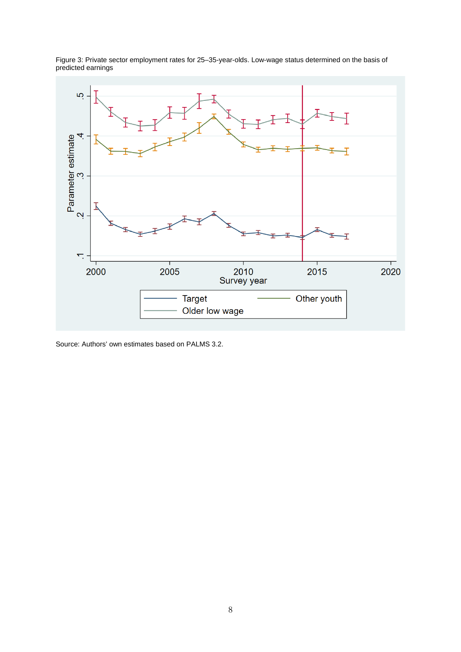

Figure 3: Private sector employment rates for 25–35-year-olds. Low-wage status determined on the basis of predicted earnings

Source: Authors' own estimates based on PALMS 3.2.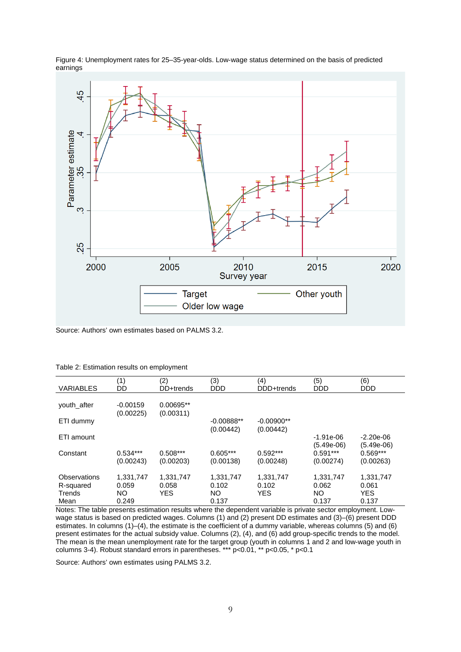

Figure 4: Unemployment rates for 25–35-year-olds. Low-wage status determined on the basis of predicted earnings

Source: Authors' own estimates based on PALMS 3.2.

| <b>VARIABLES</b>                    | (1)<br>DD                 | (2)<br>DD+trends           | (3)<br><b>DDD</b>         | (4)<br>DDD+trends                | (5)<br><b>DDD</b>               | (6)<br><b>DDD</b>                |
|-------------------------------------|---------------------------|----------------------------|---------------------------|----------------------------------|---------------------------------|----------------------------------|
| youth after                         | $-0.00159$                | 0.00695**                  |                           |                                  |                                 |                                  |
| ETI dummy                           | (0.00225)                 | (0.00311)                  | $-0.00888**$<br>(0.00442) | $-0.00900**$<br>(0.00442)        |                                 |                                  |
| ETI amount                          |                           |                            |                           |                                  | $-1.91e-06$<br>(5.49e-06)       | $-2.20e-06$<br>$(5.49e-06)$      |
| Constant                            | $0.534***$<br>(0.00243)   | $0.508***$<br>(0.00203)    | $0.605***$<br>(0.00138)   | $0.592***$<br>(0.00248)          | $0.591***$<br>(0.00274)         | $0.569***$<br>(0.00263)          |
| Observations<br>R-squared<br>Trends | 1,331,747<br>0.059<br>NO. | 1,331,747<br>0.058<br>YES. | 1,331,747<br>0.102<br>NO. | 1,331,747<br>0.102<br><b>YES</b> | 1,331,747<br>0.062<br><b>NO</b> | 1,331,747<br>0.061<br><b>YES</b> |
| Mean                                | 0.249                     |                            | 0.137                     |                                  | 0.137                           | 0.137                            |

Notes: The table presents estimation results where the dependent variable is private sector employment. Lowwage status is based on predicted wages. Columns (1) and (2) present DD estimates and (3)–(6) present DDD estimates. In columns (1)–(4), the estimate is the coefficient of a dummy variable, whereas columns (5) and (6) present estimates for the actual subsidy value. Columns (2), (4), and (6) add group-specific trends to the model. The mean is the mean unemployment rate for the target group (youth in columns 1 and 2 and low-wage youth in columns 3-4). Robust standard errors in parentheses. \*\*\* p<0.01, \*\* p<0.05, \* p<0.1

Source: Authors' own estimates using PALMS 3.2.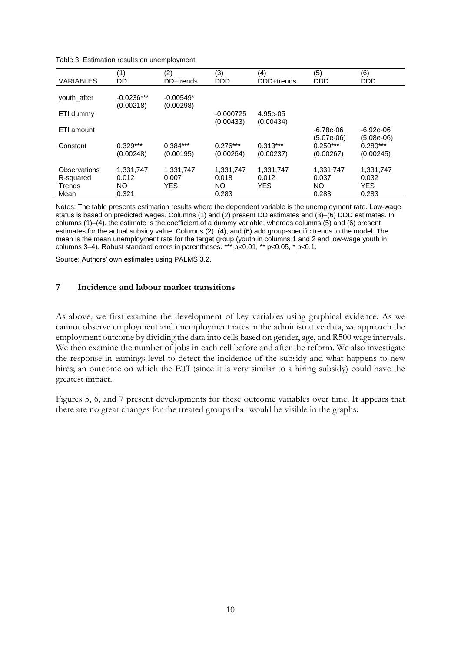| <b>VARIABLES</b>                            | (1)<br>DD                         | (2)<br>DD+trends                 | (3)<br><b>DDD</b>                 | (4)<br>DDD+trends                | (5)<br><b>DDD</b>                 | (6)<br><b>DDD</b>                         |
|---------------------------------------------|-----------------------------------|----------------------------------|-----------------------------------|----------------------------------|-----------------------------------|-------------------------------------------|
| youth after                                 | $-0.0236***$<br>(0.00218)         | $-0.00549*$<br>(0.00298)         |                                   |                                  |                                   |                                           |
| ETI dummy                                   |                                   |                                  | $-0.000725$                       | 4.95e-05                         |                                   |                                           |
| ETI amount                                  |                                   |                                  | (0.00433)                         | (0.00434)                        | $-6.78e-06$<br>$(5.07e-06)$       | $-6.92e-06$<br>$(5.08e-06)$               |
| Constant                                    | $0.329***$<br>(0.00248)           | $0.384***$<br>(0.00195)          | $0.276***$<br>(0.00264)           | $0.313***$<br>(0.00237)          | $0.250***$<br>(0.00267)           | $0.280***$<br>(0.00245)                   |
| Observations<br>R-squared<br>Trends<br>Mean | 1.331.747<br>0.012<br>ΝO<br>0.321 | 1.331.747<br>0.007<br><b>YES</b> | 1,331,747<br>0.018<br>NΟ<br>0.283 | 1,331,747<br>0.012<br><b>YES</b> | 1,331,747<br>0.037<br>NΟ<br>0.283 | 1,331,747<br>0.032<br><b>YES</b><br>0.283 |

Notes: The table presents estimation results where the dependent variable is the unemployment rate. Low-wage status is based on predicted wages. Columns (1) and (2) present DD estimates and (3)–(6) DDD estimates. In columns (1)–(4), the estimate is the coefficient of a dummy variable, whereas columns (5) and (6) present estimates for the actual subsidy value. Columns (2), (4), and (6) add group-specific trends to the model. The mean is the mean unemployment rate for the target group (youth in columns 1 and 2 and low-wage youth in columns 3–4). Robust standard errors in parentheses. \*\*\* p<0.01, \*\* p<0.05, \* p<0.1.

Source: Authors' own estimates using PALMS 3.2.

## **7 Incidence and labour market transitions**

As above, we first examine the development of key variables using graphical evidence. As we cannot observe employment and unemployment rates in the administrative data, we approach the employment outcome by dividing the data into cells based on gender, age, and R500 wage intervals. We then examine the number of jobs in each cell before and after the reform. We also investigate the response in earnings level to detect the incidence of the subsidy and what happens to new hires; an outcome on which the ETI (since it is very similar to a hiring subsidy) could have the greatest impact.

Figures 5, 6, and 7 present developments for these outcome variables over time. It appears that there are no great changes for the treated groups that would be visible in the graphs.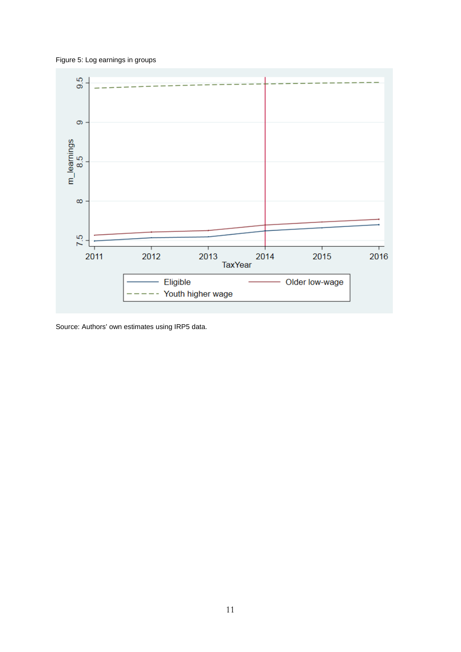Figure 5: Log earnings in groups



Source: Authors' own estimates using IRP5 data.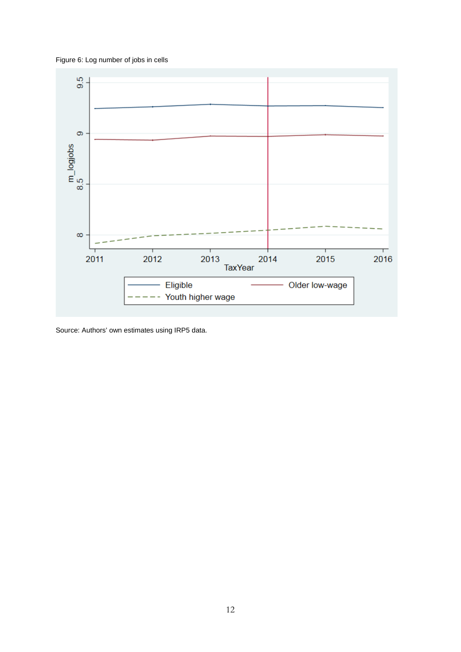Figure 6: Log number of jobs in cells



Source: Authors' own estimates using IRP5 data.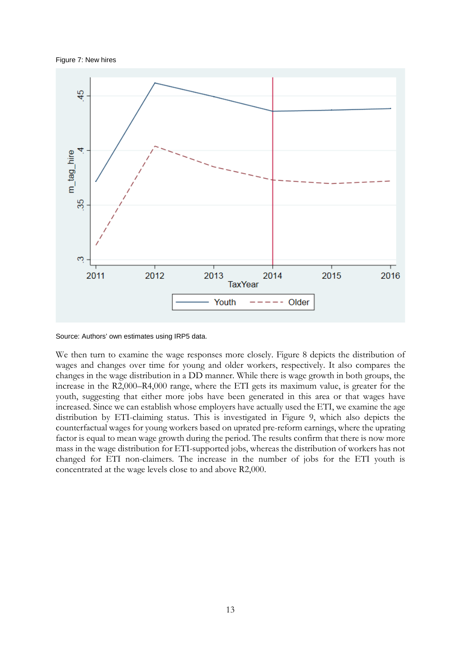Figure 7: New hires



Source: Authors' own estimates using IRP5 data.

We then turn to examine the wage responses more closely. Figure 8 depicts the distribution of wages and changes over time for young and older workers, respectively. It also compares the changes in the wage distribution in a DD manner. While there is wage growth in both groups, the increase in the R2,000–R4,000 range, where the ETI gets its maximum value, is greater for the youth, suggesting that either more jobs have been generated in this area or that wages have increased. Since we can establish whose employers have actually used the ETI, we examine the age distribution by ETI-claiming status. This is investigated in Figure 9, which also depicts the counterfactual wages for young workers based on uprated pre-reform earnings, where the uprating factor is equal to mean wage growth during the period. The results confirm that there is now more mass in the wage distribution for ETI-supported jobs, whereas the distribution of workers has not changed for ETI non-claimers. The increase in the number of jobs for the ETI youth is concentrated at the wage levels close to and above R2,000.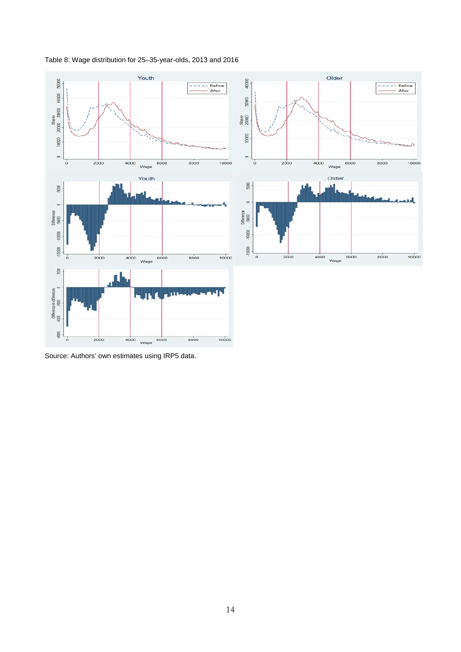### Table 8: Wage distribution for 25–35-year-olds, 2013 and 2016



Source: Authors' own estimates using IRP5 data.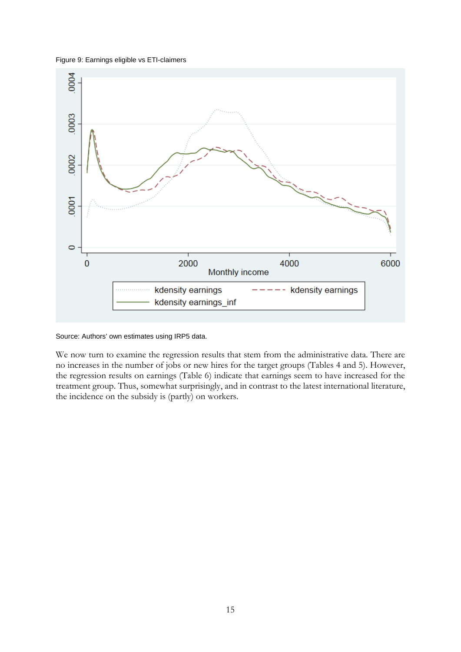### Figure 9: Earnings eligible vs ETI-claimers



Source: Authors' own estimates using IRP5 data.

We now turn to examine the regression results that stem from the administrative data. There are no increases in the number of jobs or new hires for the target groups (Tables 4 and 5). However, the regression results on earnings (Table 6) indicate that earnings seem to have increased for the treatment group. Thus, somewhat surprisingly, and in contrast to the latest international literature, the incidence on the subsidy is (partly) on workers.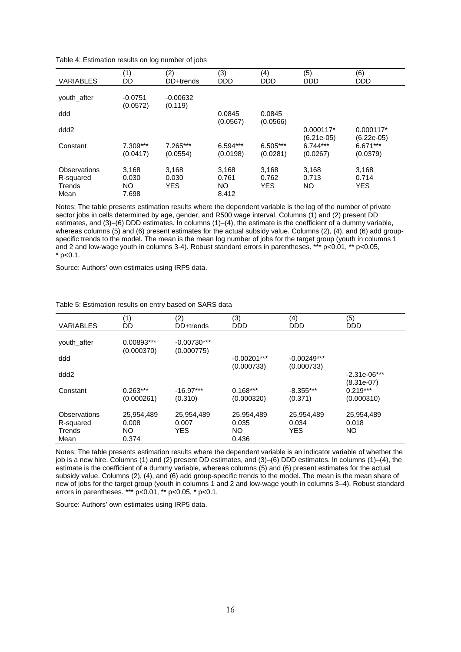| <b>VARIABLES</b>                            | (1)<br>DD                      | (2)<br>DD+trends             | (3)<br><b>DDD</b>              | (4)<br><b>DDD</b>      | (5)<br><b>DDD</b>           | (6)<br><b>DDD</b>            |
|---------------------------------------------|--------------------------------|------------------------------|--------------------------------|------------------------|-----------------------------|------------------------------|
| youth after                                 | $-0.0751$<br>(0.0572)          | $-0.00632$<br>(0.119)        |                                |                        |                             |                              |
| ddd                                         |                                |                              | 0.0845<br>(0.0567)             | 0.0845<br>(0.0566)     |                             |                              |
| ddd <sub>2</sub>                            |                                |                              |                                |                        | $0.000117*$<br>$(6.21e-05)$ | $0.000117*$<br>$(6.22e-05)$  |
| Constant                                    | $7.309***$<br>(0.0417)         | 7.265***<br>(0.0554)         | $6.594***$<br>(0.0198)         | $6.505***$<br>(0.0281) | $6.744***$<br>(0.0267)      | $6.671***$<br>(0.0379)       |
| Observations<br>R-squared<br>Trends<br>Mean | 3,168<br>0.030<br>NO.<br>7.698 | 3,168<br>0.030<br><b>YES</b> | 3,168<br>0.761<br>NO.<br>8.412 | 3,168<br>0.762<br>YES. | 3,168<br>0.713<br>NO.       | 3,168<br>0.714<br><b>YES</b> |

Notes: The table presents estimation results where the dependent variable is the log of the number of private sector jobs in cells determined by age, gender, and R500 wage interval. Columns (1) and (2) present DD estimates, and (3)–(6) DDD estimates. In columns (1)–(4), the estimate is the coefficient of a dummy variable, whereas columns (5) and (6) present estimates for the actual subsidy value. Columns (2), (4), and (6) add groupspecific trends to the model. The mean is the mean log number of jobs for the target group (youth in columns 1 and 2 and low-wage youth in columns 3-4). Robust standard errors in parentheses. \*\*\* p<0.01, \*\* p<0.05,  $*$  p<0.1.

Source: Authors' own estimates using IRP5 data.

| <b>VARIABLES</b>                            | (1)<br>DD                           | (2)<br>DD+trends                  | (3)<br><b>DDD</b>                  | (4)<br><b>DDD</b>                 | (5)<br><b>DDD</b>                        |
|---------------------------------------------|-------------------------------------|-----------------------------------|------------------------------------|-----------------------------------|------------------------------------------|
| youth after                                 | 0.00893***<br>(0.000370)            | $-0.00730***$<br>(0.000775)       |                                    |                                   |                                          |
| ddd                                         |                                     |                                   | $-0.00201***$<br>(0.000733)        | $-0.00249***$<br>(0.000733)       |                                          |
| ddd <sub>2</sub>                            |                                     |                                   |                                    |                                   | $-2.31e-06***$                           |
| Constant                                    | $0.263***$<br>(0.000261)            | $-16.97***$<br>(0.310)            | $0.168***$<br>(0.000320)           | $-8.355***$<br>(0.371)            | $(8.31e-07)$<br>$0.219***$<br>(0.000310) |
| Observations<br>R-squared<br>Trends<br>Mean | 25,954,489<br>0.008<br>NO.<br>0.374 | 25,954,489<br>0.007<br><b>YES</b> | 25,954,489<br>0.035<br>NO<br>0.436 | 25,954,489<br>0.034<br><b>YES</b> | 25,954,489<br>0.018<br>NO.               |

Table 5: Estimation results on entry based on SARS data

Notes: The table presents estimation results where the dependent variable is an indicator variable of whether the job is a new hire. Columns (1) and (2) present DD estimates, and (3)–(6) DDD estimates. In columns (1)–(4), the estimate is the coefficient of a dummy variable, whereas columns (5) and (6) present estimates for the actual subsidy value. Columns (2), (4), and (6) add group-specific trends to the model. The mean is the mean share of new of jobs for the target group (youth in columns 1 and 2 and low-wage youth in columns 3–4). Robust standard errors in parentheses. \*\*\* p<0.01, \*\* p<0.05, \* p<0.1.

Source: Authors' own estimates using IRP5 data.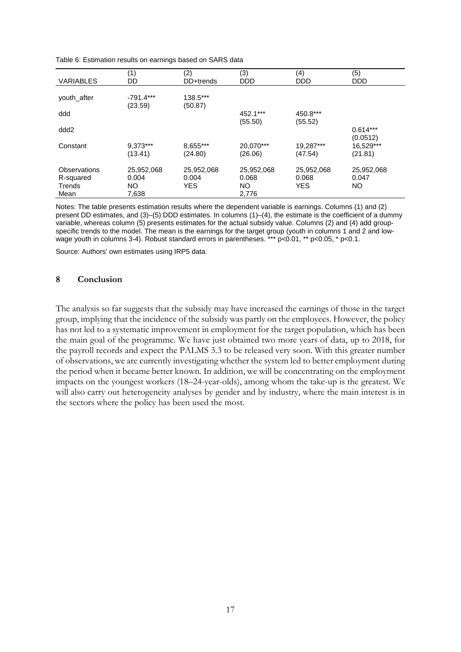| Table 6: Estimation results on earnings based on SARS data |  |
|------------------------------------------------------------|--|
|------------------------------------------------------------|--|

| <b>VARIABLES</b>                            | (1)<br>DD                           | (2)<br>DD+trends            | (3)<br><b>DDD</b>                         | (4)<br><b>DDD</b>                 | (5)<br><b>DDD</b>                |
|---------------------------------------------|-------------------------------------|-----------------------------|-------------------------------------------|-----------------------------------|----------------------------------|
| youth after                                 | $-791.4***$<br>(23.59)              | 138.5***<br>(50.87)         |                                           |                                   |                                  |
| ddd                                         |                                     |                             | 452.1***                                  | 450.8***                          |                                  |
| ddd <sub>2</sub>                            |                                     |                             | (55.50)                                   | (55.52)                           | $0.614***$<br>(0.0512)           |
| Constant                                    | 9,373***<br>(13.41)                 | 8,655***<br>(24.80)         | 20,070***<br>(26.06)                      | 19,287***<br>(47.54)              | 16,529***<br>(21.81)             |
| Observations<br>R-squared<br>Trends<br>Mean | 25,952,068<br>0.004<br>NO.<br>7,638 | 25,952,068<br>0.004<br>YES. | 25,952,068<br>0.068<br><b>NO</b><br>2,776 | 25,952,068<br>0.068<br><b>YES</b> | 25,952,068<br>0.047<br><b>NO</b> |

Notes: The table presents estimation results where the dependent variable is earnings. Columns (1) and (2) present DD estimates, and (3)–(5) DDD estimates. In columns (1)–(4), the estimate is the coefficient of a dummy variable, whereas column (5) presents estimates for the actual subsidy value. Columns (2) and (4) add groupspecific trends to the model. The mean is the earnings for the target group (youth in columns 1 and 2 and lowwage youth in columns 3-4). Robust standard errors in parentheses. \*\*\* p<0.01, \*\* p<0.05, \* p<0.1.

Source: Authors' own estimates using IRP5 data.

### **8 Conclusion**

The analysis so far suggests that the subsidy may have increased the earnings of those in the target group, implying that the incidence of the subsidy was partly on the employees. However, the policy has not led to a systematic improvement in employment for the target population, which has been the main goal of the programme. We have just obtained two more years of data, up to 2018, for the payroll records and expect the PALMS 3.3 to be released very soon. With this greater number of observations, we are currently investigating whether the system led to better employment during the period when it became better known. In addition, we will be concentrating on the employment impacts on the youngest workers (18–24-year-olds), among whom the take-up is the greatest. We will also carry out heterogeneity analyses by gender and by industry, where the main interest is in the sectors where the policy has been used the most.